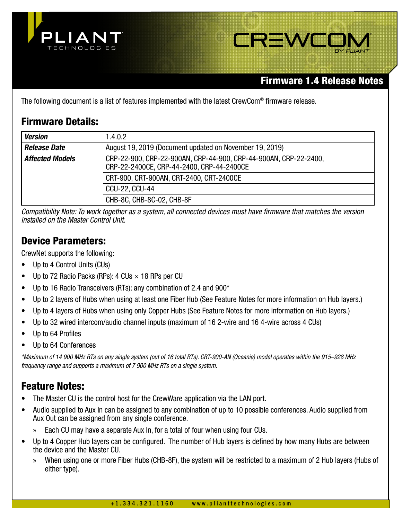



# Firmware 1.4 Release Notes

The following document is a list of features implemented with the latest CrewCom® firmware release.

# Firmware Details:

| <b>Version</b>         | 1.4.0.2                                                                                                       |
|------------------------|---------------------------------------------------------------------------------------------------------------|
| <b>Release Date</b>    | August 19, 2019 (Document updated on November 19, 2019)                                                       |
| <b>Affected Models</b> | CRP-22-900, CRP-22-900AN, CRP-44-900, CRP-44-900AN, CRP-22-2400,<br>CRP-22-2400CE, CRP-44-2400, CRP-44-2400CE |
|                        | CRT-900, CRT-900AN, CRT-2400, CRT-2400CE                                                                      |
|                        | <b>CCU-22, CCU-44</b>                                                                                         |
|                        | CHB-8C, CHB-8C-02, CHB-8F                                                                                     |

Compatibility Note: To work together as a system, all connected devices must have firmware that matches the version installed on the Master Control Unit.

# Device Parameters:

CrewNet supports the following:

- Up to 4 Control Units (CUs)
- Up to 72 Radio Packs (RPs): 4 CUs  $\times$  18 RPs per CU
- Up to 16 Radio Transceivers (RTs): any combination of 2.4 and 900\*
- Up to 2 layers of Hubs when using at least one Fiber Hub (See Feature Notes for more information on Hub layers.)
- Up to 4 layers of Hubs when using only Copper Hubs (See Feature Notes for more information on Hub layers.)
- Up to 32 wired intercom/audio channel inputs (maximum of 16 2-wire and 16 4-wire across 4 CUs)
- Up to 64 Profiles
- Up to 64 Conferences

\*Maximum of 14 900 MHz RTs on any single system (out of 16 total RTs). CRT-900-AN (Oceania) model operates within the 915–928 MHz frequency range and supports a maximum of 7 900 MHz RTs on a single system.

# Feature Notes:

- The Master CU is the control host for the CrewWare application via the LAN port.
- Audio supplied to Aux In can be assigned to any combination of up to 10 possible conferences. Audio supplied from Aux Out can be assigned from any single conference.
	- Each CU may have a separate Aux In, for a total of four when using four CUs.
- Up to 4 Copper Hub layers can be configured. The number of Hub layers is defined by how many Hubs are between the device and the Master CU.
	- » When using one or more Fiber Hubs (CHB-8F), the system will be restricted to a maximum of 2 Hub layers (Hubs of either type).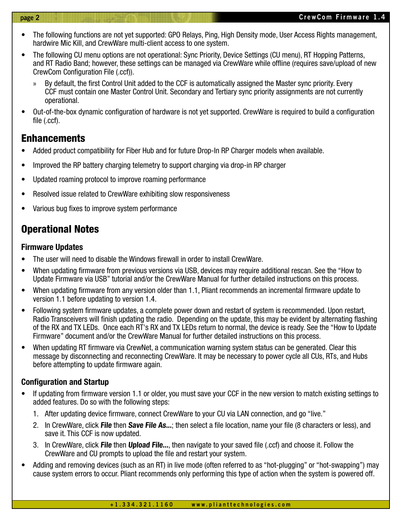- The following functions are not yet supported: GPO Relays, Ping, High Density mode, User Access Rights management, hardwire Mic Kill, and CrewWare multi-client access to one system.
- The following CU menu options are not operational: Sync Priority, Device Settings (CU menu), RT Hopping Patterns, and RT Radio Band; however, these settings can be managed via CrewWare while offline (requires save/upload of new CrewCom Configuration File (.ccf)).
	- By default, the first Control Unit added to the CCF is automatically assigned the Master sync priority. Every CCF must contain one Master Control Unit. Secondary and Tertiary sync priority assignments are not currently operational.
- Out-of-the-box dynamic configuration of hardware is not yet supported. CrewWare is required to build a configuration file (.ccf).

## **Enhancements**

- Added product compatibility for Fiber Hub and for future Drop-In RP Charger models when available.
- Improved the RP battery charging telemetry to support charging via drop-in RP charger
- Updated roaming protocol to improve roaming performance
- Resolved issue related to CrewWare exhibiting slow responsiveness
- Various bug fixes to improve system performance

# Operational Notes

## Firmware Updates

- The user will need to disable the Windows firewall in order to install CrewWare.
- When updating firmware from previous versions via USB, devices may require additional rescan. See the "How to Update Firmware via USB" tutorial and/or the CrewWare Manual for further detailed instructions on this process.
- When updating firmware from any version older than 1.1, Pliant recommends an incremental firmware update to version 1.1 before updating to version 1.4.
- Following system firmware updates, a complete power down and restart of system is recommended. Upon restart, Radio Transceivers will finish updating the radio. Depending on the update, this may be evident by alternating flashing of the RX and TX LEDs. Once each RT's RX and TX LEDs return to normal, the device is ready. See the "How to Update Firmware" document and/or the CrewWare Manual for further detailed instructions on this process.
- When updating RT firmware via CrewNet, a communication warning system status can be generated. Clear this message by disconnecting and reconnecting CrewWare. It may be necessary to power cycle all CUs, RTs, and Hubs before attempting to update firmware again.

## Configuration and Startup

- If updating from firmware version 1.1 or older, you must save your CCF in the new version to match existing settings to added features. Do so with the following steps:
	- 1. After updating device firmware, connect CrewWare to your CU via LAN connection, and go "live."
	- 2. In CrewWare, click File then Save File As...; then select a file location, name your file (8 characters or less), and save it. This CCF is now updated.
	- 3. In CrewWare, click File then Upload File..., then navigate to your saved file (.ccf) and choose it. Follow the CrewWare and CU prompts to upload the file and restart your system.
- Adding and removing devices (such as an RT) in live mode (often referred to as "hot-plugging" or "hot-swapping") may cause system errors to occur. Pliant recommends only performing this type of action when the system is powered off.